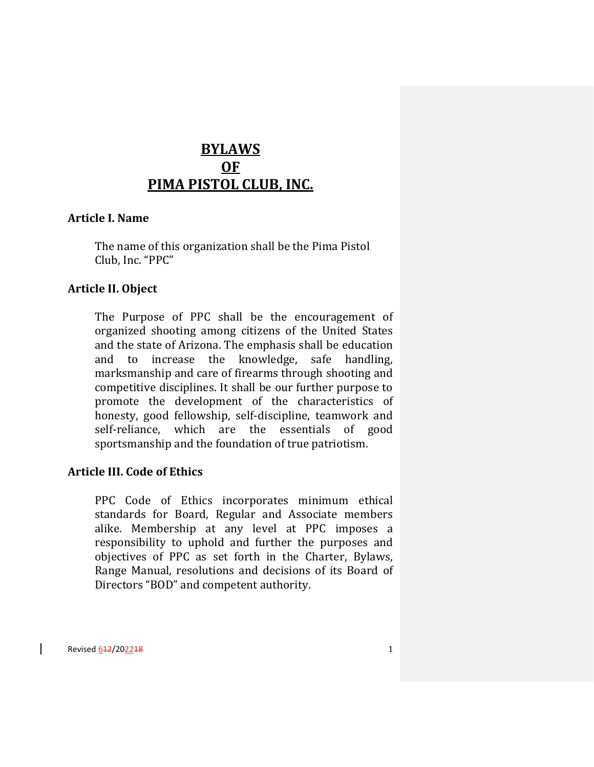## **BYLAWS OF PIMA PISTOL CLUB, INC.**

#### **Article I. Name**

The name of this organization shall be the Pima Pistol Club, Inc. "PPC"

#### **Article II. Object**

The Purpose of PPC shall be the encouragement of organized shooting among citizens of the United States and the state of Arizona. The emphasis shall be education and to increase the knowledge, safe handling, marksmanship and care of firearms through shooting and competitive disciplines. It shall be our further purpose to promote the development of the characteristics of honesty, good fellowship, self-discipline, teamwork and self-reliance, which are the essentials of good sportsmanship and the foundation of true patriotism.

#### **Article III. Code of Ethics**

PPC Code of Ethics incorporates minimum ethical standards for Board, Regular and Associate members alike. Membership at any level at PPC imposes a responsibility to uphold and further the purposes and objectives of PPC as set forth in the Charter, Bylaws, Range Manual, resolutions and decisions of its Board of Directors "BOD" and competent authority.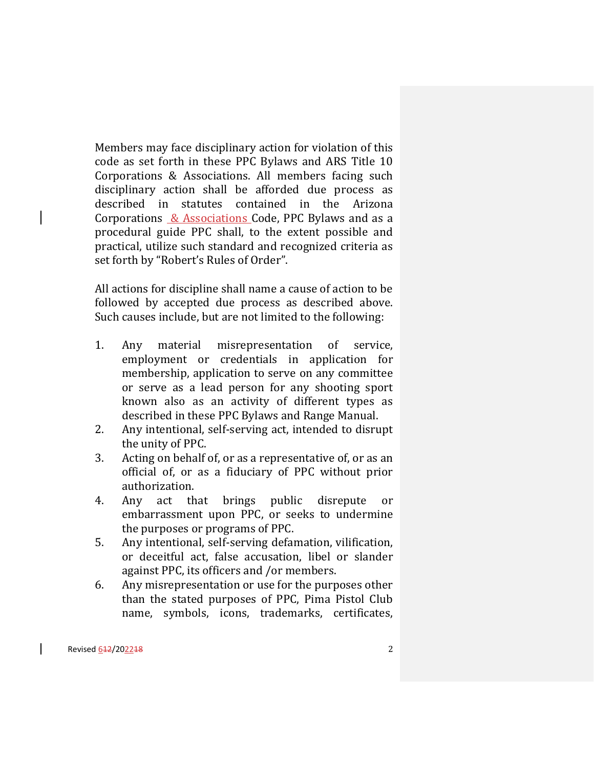Members may face disciplinary action for violation of this code as set forth in these PPC Bylaws and ARS Title 10 Corporations & Associations. All members facing such disciplinary action shall be afforded due process as described in statutes contained in the Arizona Corporations  $&$  Associations Code, PPC Bylaws and as a procedural guide PPC shall, to the extent possible and practical, utilize such standard and recognized criteria as set forth by "Robert's Rules of Order".

All actions for discipline shall name a cause of action to be followed by accepted due process as described above. Such causes include, but are not limited to the following:

- 1. Any material misrepresentation of service, employment or credentials in application for membership, application to serve on any committee or serve as a lead person for any shooting sport known also as an activity of different types as described in these PPC Bylaws and Range Manual.
- 2. Any intentional, self-serving act, intended to disrupt the unity of PPC.
- 3. Acting on behalf of, or as a representative of, or as an official of, or as a fiduciary of PPC without prior authorization.
- 4. Any act that brings public disrepute or embarrassment upon PPC, or seeks to undermine the purposes or programs of PPC.
- 5. Any intentional, self-serving defamation, vilification, or deceitful act, false accusation, libel or slander against PPC, its officers and /or members.
- 6. Any misrepresentation or use for the purposes other than the stated purposes of PPC, Pima Pistol Club name, symbols, icons, trademarks, certificates,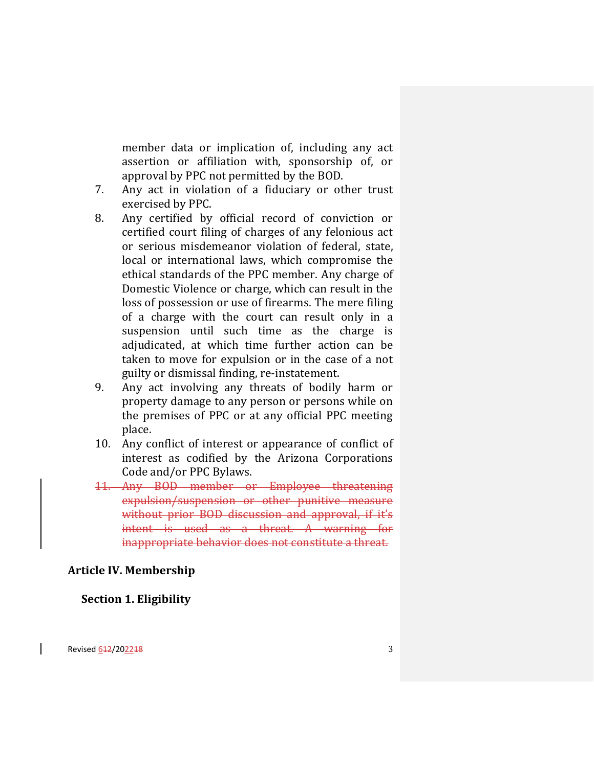member data or implication of, including any act assertion or affiliation with, sponsorship of, or approval by PPC not permitted by the BOD.

- 7. Any act in violation of a fiduciary or other trust exercised by PPC.
- 8. Any certified by official record of conviction or certified court filing of charges of any felonious act or serious misdemeanor violation of federal, state, local or international laws, which compromise the ethical standards of the PPC member. Any charge of Domestic Violence or charge, which can result in the loss of possession or use of firearms. The mere filing of a charge with the court can result only in a suspension until such time as the charge is adjudicated, at which time further action can be taken to move for expulsion or in the case of a not guilty or dismissal finding, re-instatement.
- 9. Any act involving any threats of bodily harm or property damage to any person or persons while on the premises of PPC or at any official PPC meeting place.
- 10. Any conflict of interest or appearance of conflict of interest as codified by the Arizona Corporations Code and/or PPC Bylaws.
- 11. Any BOD member or Employee threatening expulsion/suspension or other punitive measure without prior BOD discussion and approval, if it's intent is used as a threat. A warning for inappropriate behavior does not constitute a threat.

#### **Article IV. Membership**

#### **Section 1. Eligibility**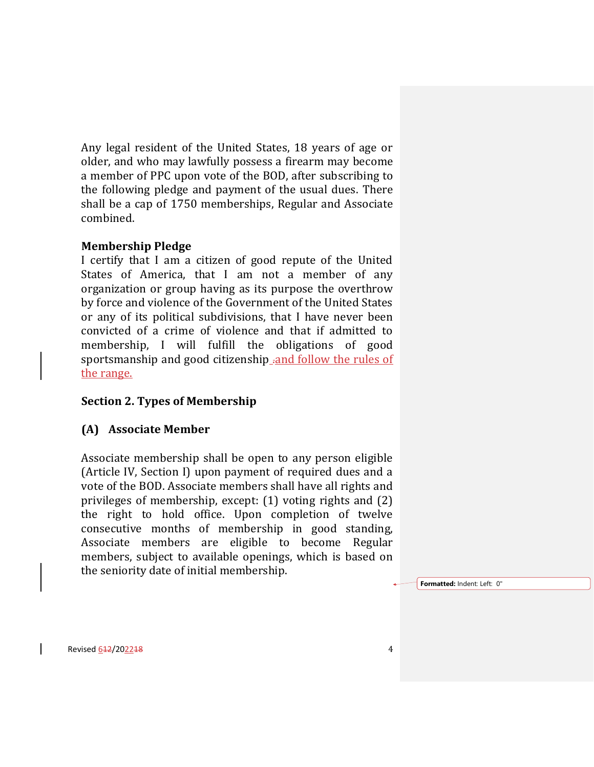Any legal resident of the United States, 18 years of age or older, and who may lawfully possess a firearm may become a member of PPC upon vote of the BOD, after subscribing to the following pledge and payment of the usual dues. There shall be a cap of 1750 memberships, Regular and Associate combined.

## **Membership Pledge**

I certify that I am a citizen of good repute of the United States of America, that I am not a member of any organization or group having as its purpose the overthrow by force and violence of the Government of the United States or any of its political subdivisions, that I have never been convicted of a crime of violence and that if admitted to membership, I will fulfill the obligations of good sportsmanship and good citizenship .and follow the rules of the range.

## **Section 2. Types of Membership**

#### **(A) Associate Member**

Associate membership shall be open to any person eligible (Article IV, Section I) upon payment of required dues and a vote of the BOD. Associate members shall have all rights and privileges of membership, except: (1) voting rights and (2) the right to hold office. Upon completion of twelve consecutive months of membership in good standing, Associate members are eligible to become Regular members, subject to available openings, which is based on the seniority date of initial membership.

**Formatted:** Indent: Left: 0"

Revised 612/202218 4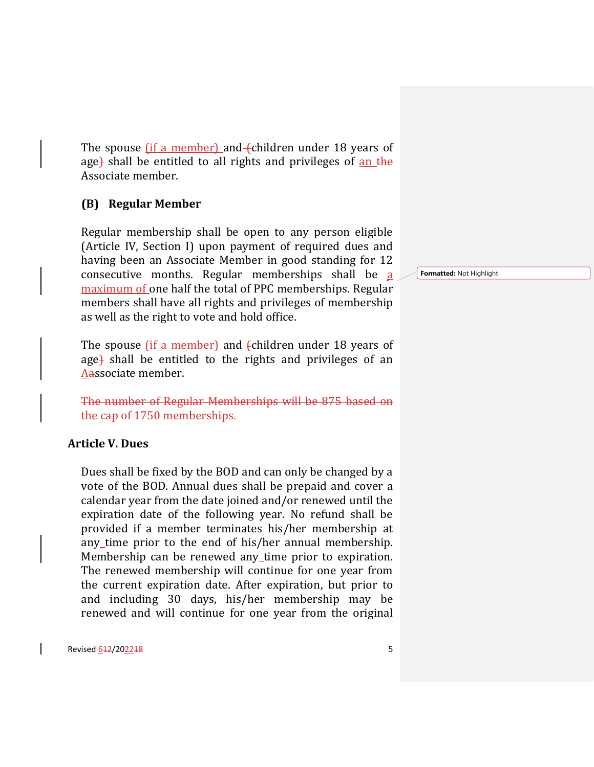The spouse  $(i$  f a member) and (children under 18 years of age) shall be entitled to all rights and privileges of an the Associate member.

## **(B) Regular Member**

Regular membership shall be open to any person eligible (Article IV, Section I) upon payment of required dues and having been an Associate Member in good standing for 12 consecutive months. Regular memberships shall be a maximum of one half the total of PPC memberships. Regular members shall have all rights and privileges of membership as well as the right to vote and hold office.

The spouse  $\left(\text{if a member}\right)$  and  $\left(\text{children under 18 years of}\right)$ age) shall be entitled to the rights and privileges of an Aassociate member.

The number of Regular Memberships will be 875 based on the cap of 1750 memberships.

#### **Article V. Dues**

Dues shall be fixed by the BOD and can only be changed by a vote of the BOD. Annual dues shall be prepaid and cover a calendar year from the date joined and/or renewed until the expiration date of the following year. No refund shall be provided if a member terminates his/her membership at any time prior to the end of his/her annual membership. Membership can be renewed any time prior to expiration. The renewed membership will continue for one year from the current expiration date. After expiration, but prior to and including 30 days, his/her membership may be renewed and will continue for one year from the original

Revised 642/202248 5

**Formatted:** Not Highlight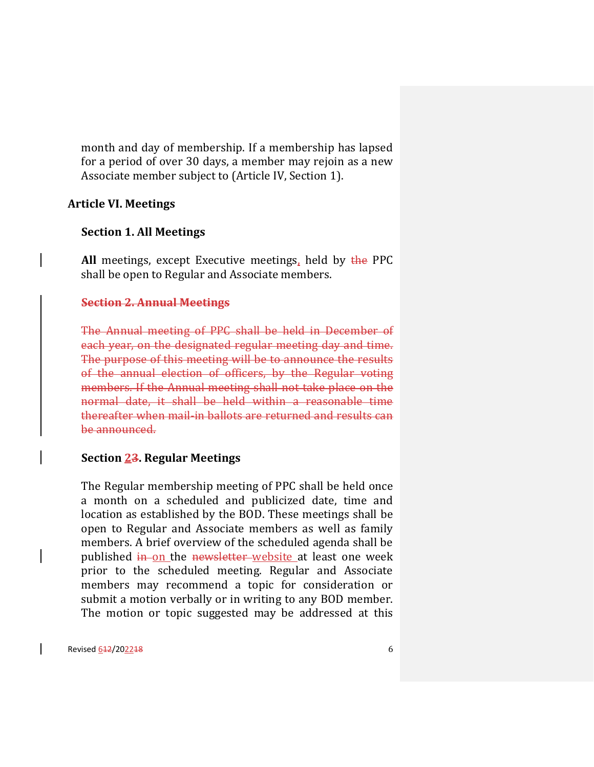month and day of membership. If a membership has lapsed for a period of over 30 days, a member may rejoin as a new Associate member subject to (Article IV, Section 1).

#### **Article VI. Meetings**

#### **Section 1. All Meetings**

**All** meetings, except Executive meetings, held by the PPC shall be open to Regular and Associate members.

#### **Section 2. Annual Meetings**

The Annual meeting of PPC shall be held in December of each year, on the designated regular meeting day and time. The purpose of this meeting will be to announce the results of the annual election of officers, by the Regular voting members. If the Annual meeting shall not take place on the normal date, it shall be held within a reasonable time thereafter when mail-in ballots are returned and results can be announced.

#### **Section 23. Regular Meetings**

The Regular membership meeting of PPC shall be held once a month on a scheduled and publicized date, time and location as established by the BOD. These meetings shall be open to Regular and Associate members as well as family members. A brief overview of the scheduled agenda shall be published in on the newsletter website at least one week prior to the scheduled meeting. Regular and Associate members may recommend a topic for consideration or submit a motion verbally or in writing to any BOD member. The motion or topic suggested may be addressed at this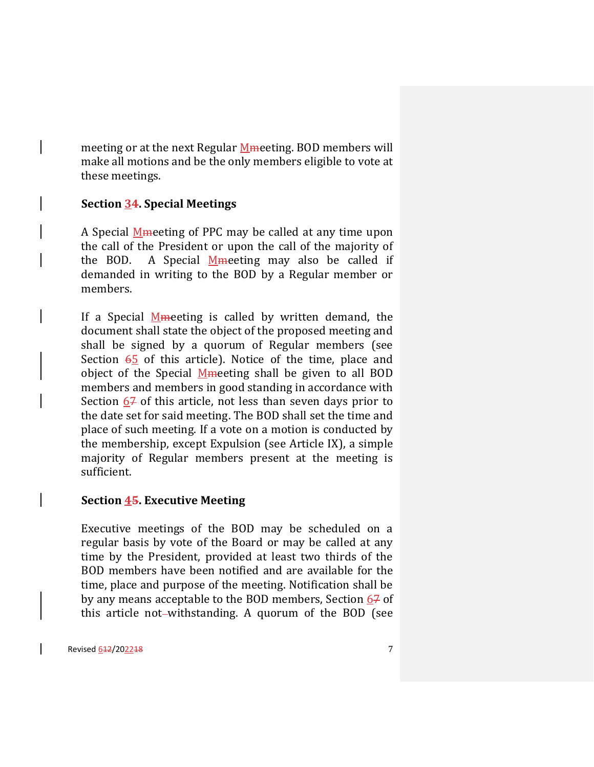meeting or at the next Regular Memeeting. BOD members will make all motions and be the only members eligible to vote at these meetings.

## **Section 34. Special Meetings**

A Special **M**meeting of PPC may be called at any time upon the call of the President or upon the call of the majority of the BOD. A Special Memeeting may also be called if demanded in writing to the BOD by a Regular member or members.

If a Special  $M$ meeting is called by written demand, the document shall state the object of the proposed meeting and shall be signed by a quorum of Regular members (see Section  $65$  of this article). Notice of the time, place and object of the Special Mmeeting shall be given to all BOD members and members in good standing in accordance with Section 67 of this article, not less than seven days prior to the date set for said meeting. The BOD shall set the time and place of such meeting. If a vote on a motion is conducted by the membership, except Expulsion (see Article IX), a simple majority of Regular members present at the meeting is sufficient.

#### **Section 45. Executive Meeting**

Executive meetings of the BOD may be scheduled on a regular basis by vote of the Board or may be called at any time by the President, provided at least two thirds of the BOD members have been notified and are available for the time, place and purpose of the meeting. Notification shall be by any means acceptable to the BOD members, Section  $67$  of this article not-withstanding. A quorum of the BOD (see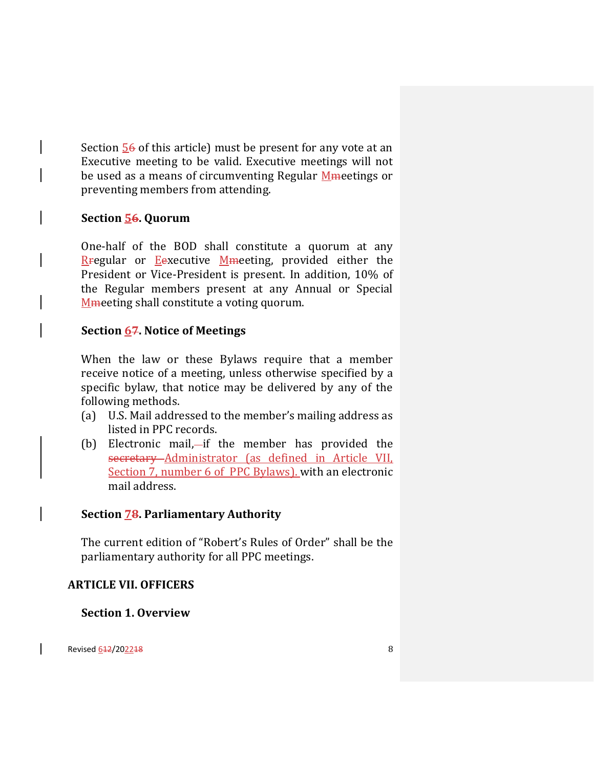Section  $\frac{56}{6}$  of this article) must be present for any vote at an Executive meeting to be valid. Executive meetings will not be used as a means of circumventing Regular Mmeetings or preventing members from attending.

## **Section 56. Quorum**

One-half of the BOD shall constitute a quorum at any Regular or Eexecutive Mmeeting, provided either the President or Vice-President is present. In addition, 10% of the Regular members present at any Annual or Special Mesting shall constitute a voting quorum.

## **Section 67. Notice of Meetings**

When the law or these Bylaws require that a member receive notice of a meeting, unless otherwise specified by a specific bylaw, that notice may be delivered by any of the following methods.

- (a) U.S. Mail addressed to the member's mailing address as listed in PPC records.
- (b) Electronic mail,—if the member has provided the secretary Administrator (as defined in Article VII, Section 7, number 6 of PPC Bylaws). with an electronic mail address.

## **Section 78. Parliamentary Authority**

The current edition of "Robert's Rules of Order" shall be the parliamentary authority for all PPC meetings.

#### **ARTICLE VII. OFFICERS**

**Section 1. Overview**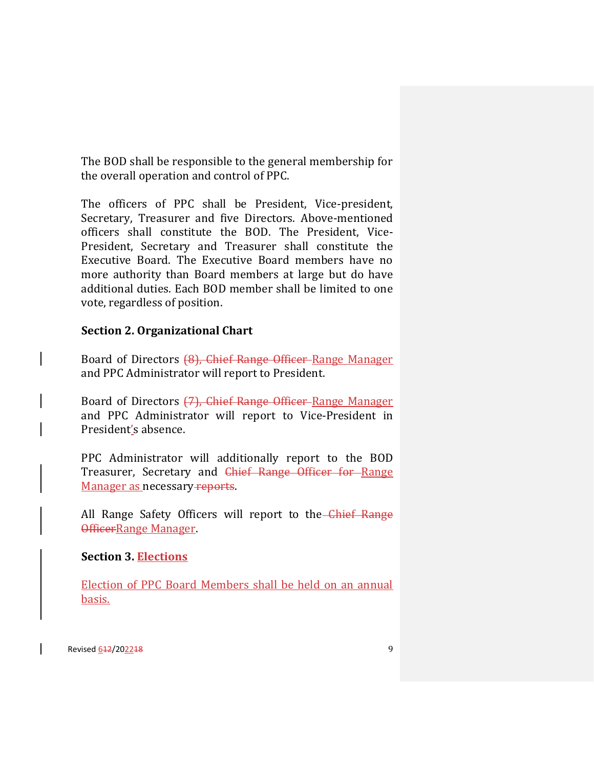The BOD shall be responsible to the general membership for the overall operation and control of PPC.

The officers of PPC shall be President, Vice-president, Secretary, Treasurer and five Directors. Above-mentioned officers shall constitute the BOD. The President, Vice-President, Secretary and Treasurer shall constitute the Executive Board. The Executive Board members have no more authority than Board members at large but do have additional duties. Each BOD member shall be limited to one vote, regardless of position.

## **Section 2. Organizational Chart**

Board of Directors (8), Chief Range Officer-Range Manager and PPC Administrator will report to President.

Board of Directors (7), Chief Range Officer Range Manager and PPC Administrator will report to Vice-President in President's absence.

PPC Administrator will additionally report to the BOD Treasurer, Secretary and Chief Range Officer for Range Manager as necessary reports.

All Range Safety Officers will report to the Chief Range OfficerRange Manager.

## **Section 3. Elections**

Election of PPC Board Members shall be held on an annual basis.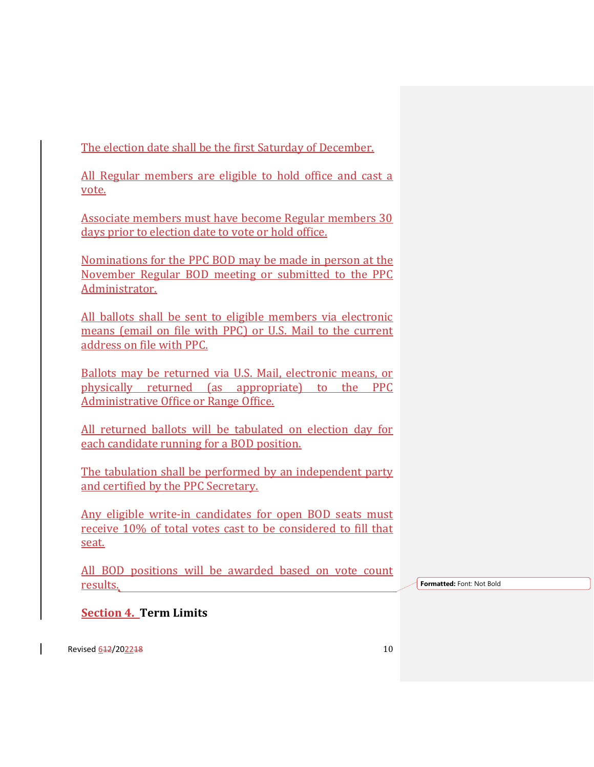The election date shall be the first Saturday of December.

All Regular members are eligible to hold office and cast a vote.

Associate members must have become Regular members 30 days prior to election date to vote or hold office.

Nominations for the PPC BOD may be made in person at the November Regular BOD meeting or submitted to the PPC Administrator.

All ballots shall be sent to eligible members via electronic means (email on file with PPC) or U.S. Mail to the current address on file with PPC.

Ballots may be returned via U.S. Mail, electronic means, or physically returned (as appropriate) to the PPC Administrative Office or Range Office.

All returned ballots will be tabulated on election day for each candidate running for a BOD position.

The tabulation shall be performed by an independent party and certified by the PPC Secretary.

Any eligible write-in candidates for open BOD seats must receive 10% of total votes cast to be considered to fill that seat.

All BOD positions will be awarded based on vote count results.

**Formatted:** Font: Not Bold

**Section 4. Term Limits**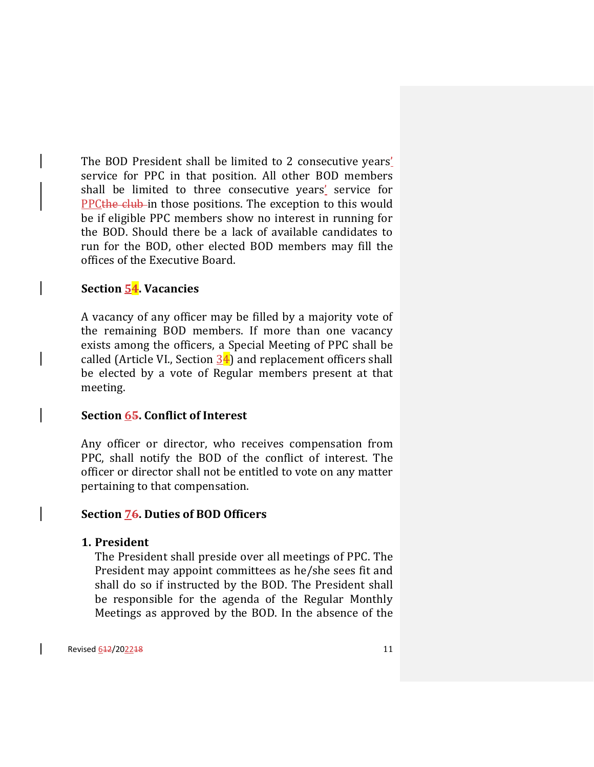The BOD President shall be limited to 2 consecutive years' service for PPC in that position. All other BOD members shall be limited to three consecutive years' service for PPCthe club in those positions. The exception to this would be if eligible PPC members show no interest in running for the BOD. Should there be a lack of available candidates to run for the BOD, other elected BOD members may fill the offices of the Executive Board.

### **Section 54. Vacancies**

A vacancy of any officer may be filled by a majority vote of the remaining BOD members. If more than one vacancy exists among the officers, a Special Meeting of PPC shall be called (Article VI., Section  $34$ ) and replacement officers shall be elected by a vote of Regular members present at that meeting.

#### **Section 65. Conflict of Interest**

Any officer or director, who receives compensation from PPC, shall notify the BOD of the conflict of interest. The officer or director shall not be entitled to vote on any matter pertaining to that compensation.

#### **Section 76. Duties of BOD Officers**

#### **1. President**

The President shall preside over all meetings of PPC. The President may appoint committees as he/she sees fit and shall do so if instructed by the BOD. The President shall be responsible for the agenda of the Regular Monthly Meetings as approved by the BOD. In the absence of the

Revised 612/202218 11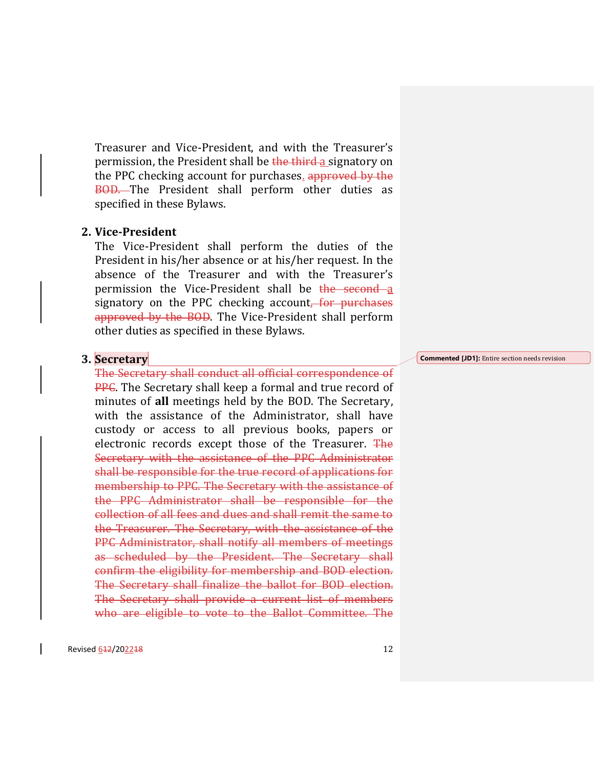Treasurer and Vice-President, and with the Treasurer's permission, the President shall be the third a signatory on the PPC checking account for purchases. approved by the BOD. The President shall perform other duties as specified in these Bylaws.

#### **2. Vice-President**

The Vice-President shall perform the duties of the President in his/her absence or at his/her request. In the absence of the Treasurer and with the Treasurer's permission the Vice-President shall be the second a signatory on the PPC checking account, for purchases approved by the BOD. The Vice-President shall perform other duties as specified in these Bylaws.

#### **3. Secretary**

The Secretary shall conduct all official correspondence of **PPC.** The Secretary shall keep a formal and true record of minutes of **all** meetings held by the BOD. The Secretary, with the assistance of the Administrator, shall have custody or access to all previous books, papers or electronic records except those of the Treasurer. The Secretary with the assistance of the PPC Administrator shall be responsible for the true record of applications for membership to PPC. The Secretary with the assistance of the PPC Administrator shall be responsible for the collection of all fees and dues and shall remit the same to the Treasurer. The Secretary, with the assistance of the PPC Administrator, shall notify all members of meetings as scheduled by the President. The Secretary shall confirm the eligibility for membership and BOD election. The Secretary shall finalize the ballot for BOD election. The Secretary shall provide a current list of members who are eligible to vote to the Ballot Committee. The

**Commented [JD1]:** Entire section needs revision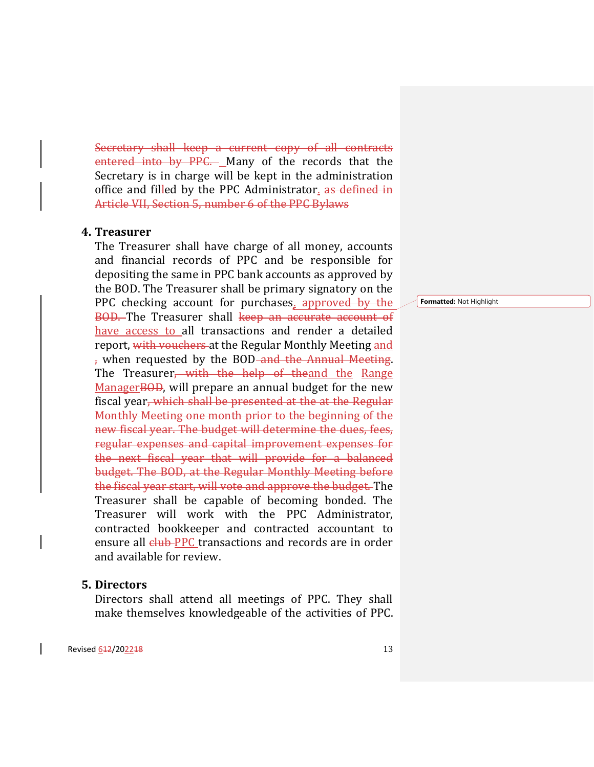Secretary shall keep a current copy of all contracts entered into by PPC. Many of the records that the Secretary is in charge will be kept in the administration office and filled by the PPC Administrator, as defined in Article VII, Section 5, number 6 of the PPC Bylaws

#### **4. Treasurer**

The Treasurer shall have charge of all money, accounts and financial records of PPC and be responsible for depositing the same in PPC bank accounts as approved by the BOD. The Treasurer shall be primary signatory on the PPC checking account for purchases. approved by the BOD. The Treasurer shall keep an accurate account of have access to all transactions and render a detailed report, with vouchers at the Regular Monthly Meeting and , when requested by the BOD<del> and the Annual Meeting</del>. The Treasurer<del>, with the help of the</del>and the Range ManagerBOD, will prepare an annual budget for the new fiscal year, which shall be presented at the at the Regular Monthly Meeting one month prior to the beginning of the new fiscal year. The budget will determine the dues, fees, regular expenses and capital improvement expenses for the next fiscal year that will provide for a balanced budget. The BOD, at the Regular Monthly Meeting before the fiscal year start, will vote and approve the budget. The Treasurer shall be capable of becoming bonded. The Treasurer will work with the PPC Administrator, contracted bookkeeper and contracted accountant to ensure all club PPC transactions and records are in order and available for review.

#### **5. Directors**

Directors shall attend all meetings of PPC. They shall make themselves knowledgeable of the activities of PPC.

**Formatted:** Not Highlight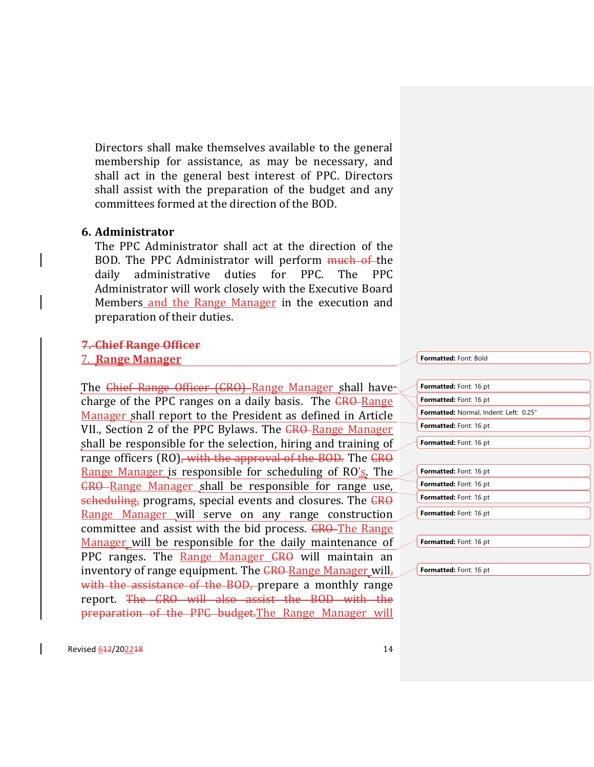Directors shall make themselves available to the general membership for assistance, as may be necessary, and shall act in the general best interest of PPC. Directors shall assist with the preparation of the budget and any committees formed at the direction of the BOD.

### **6. Administrator**

The PPC Administrator shall act at the direction of the BOD. The PPC Administrator will perform much of the daily administrative duties for PPC. The PPC Administrator will work closely with the Executive Board Members and the Range Manager in the execution and preparation of their duties.

## **7. Chief Range Officer**

#### 7. **Range Manager**

The Chief Range Officer (CRO) Range Manager shall have charge of the PPC ranges on a daily basis. The CRO-Range Manager shall report to the President as defined in Article VII., Section 2 of the PPC Bylaws. The CRO-Range Manager shall be responsible for the selection, hiring and training of range officers (RO), with the approval of the BOD. The CRO Range Manager is responsible for scheduling of RO's. The CRO Range Manager shall be responsible for range use, scheduling, programs, special events and closures. The CRO Range Manager will serve on any range construction committee and assist with the bid process. CRO-The Range Manager will be responsible for the daily maintenance of PPC ranges. The Range Manager <del>CRO</del> will maintain an inventory of range equipment. The CRO-Range Manager will, with the assistance of the BOD, prepare a monthly range report. The CRO will also assist the BOD with the preparation of the PPC budget.The Range Manager will

**Formatted:** Font: Bold

| Formatted: Font: 16 pt                        |
|-----------------------------------------------|
| <b>Formatted:</b> Font: 16 pt                 |
| <b>Formatted:</b> Normal, Indent: Left: 0.25" |
| <b>Formatted:</b> Font: 16 pt                 |
| Formatted: Font: 16 pt                        |
|                                               |
| Formatted: Font: 16 pt                        |
| <b>Formatted:</b> Font: 16 pt                 |
| Formatted: Font: 16 pt                        |
| <b>Formatted:</b> Font: 16 pt                 |
|                                               |
| <b>Formatted:</b> Font: 16 pt                 |

**Formatted:** Font: 16 pt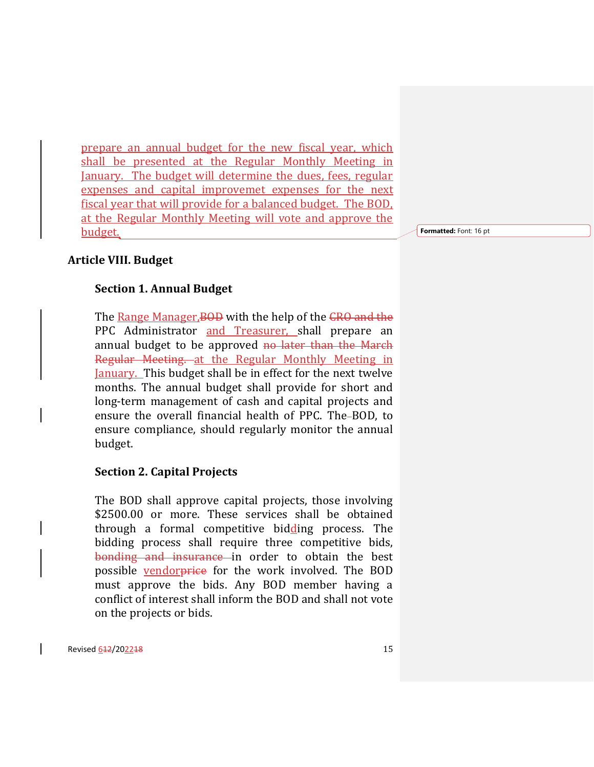prepare an annual budget for the new fiscal year, which shall be presented at the Regular Monthly Meeting in January. The budget will determine the dues, fees, regular expenses and capital improvemet expenses for the next fiscal year that will provide for a balanced budget. The BOD, at the Regular Monthly Meeting will vote and approve the budget.

**Formatted:** Font: 16 pt

#### **Article VIII. Budget**

#### **Section 1. Annual Budget**

The Range Manager, BOD with the help of the CRO and the PPC Administrator and Treasurer, shall prepare an annual budget to be approved no later than the March Regular Meeting. at the Regular Monthly Meeting in January. This budget shall be in effect for the next twelve months. The annual budget shall provide for short and long-term management of cash and capital projects and ensure the overall financial health of PPC. The-BOD, to ensure compliance, should regularly monitor the annual budget.

#### **Section 2. Capital Projects**

The BOD shall approve capital projects, those involving \$2500.00 or more. These services shall be obtained through a formal competitive bidding process. The bidding process shall require three competitive bids, bonding and insurance in order to obtain the best possible vendorprice for the work involved. The BOD must approve the bids. Any BOD member having a conflict of interest shall inform the BOD and shall not vote on the projects or bids.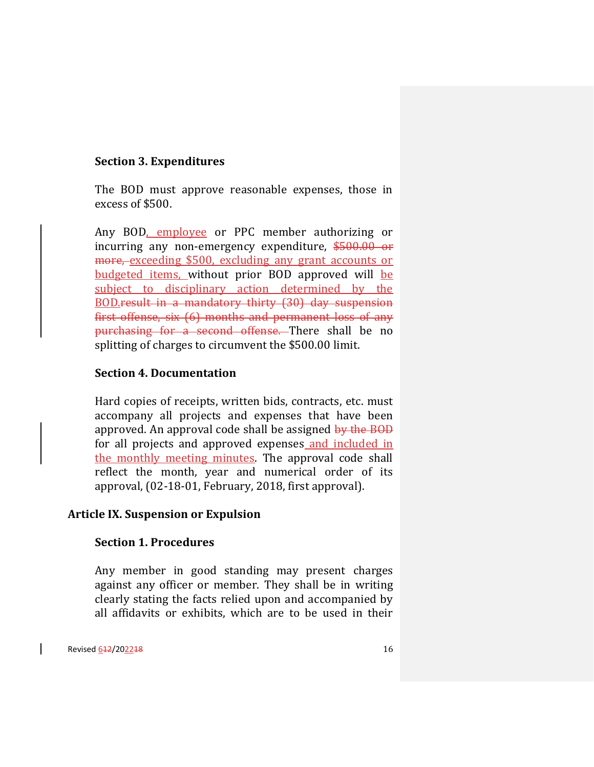## **Section 3. Expenditures**

The BOD must approve reasonable expenses, those in excess of \$500.

Any BOD, employee or PPC member authorizing or incurring any non-emergency expenditure, \$500.00 or more, exceeding \$500, excluding any grant accounts or budgeted items, without prior BOD approved will be subject to disciplinary action determined by the BOD.result in a mandatory thirty (30) day suspension first offense, six (6) months and permanent loss of any purchasing for a second offense. There shall be no splitting of charges to circumvent the \$500.00 limit.

## **Section 4. Documentation**

Hard copies of receipts, written bids, contracts, etc. must accompany all projects and expenses that have been approved. An approval code shall be assigned by the BOD for all projects and approved expenses and included in the monthly meeting minutes. The approval code shall reflect the month, year and numerical order of its approval, (02-18-01, February, 2018, first approval).

#### **Article IX. Suspension or Expulsion**

## **Section 1. Procedures**

Any member in good standing may present charges against any officer or member. They shall be in writing clearly stating the facts relied upon and accompanied by all affidavits or exhibits, which are to be used in their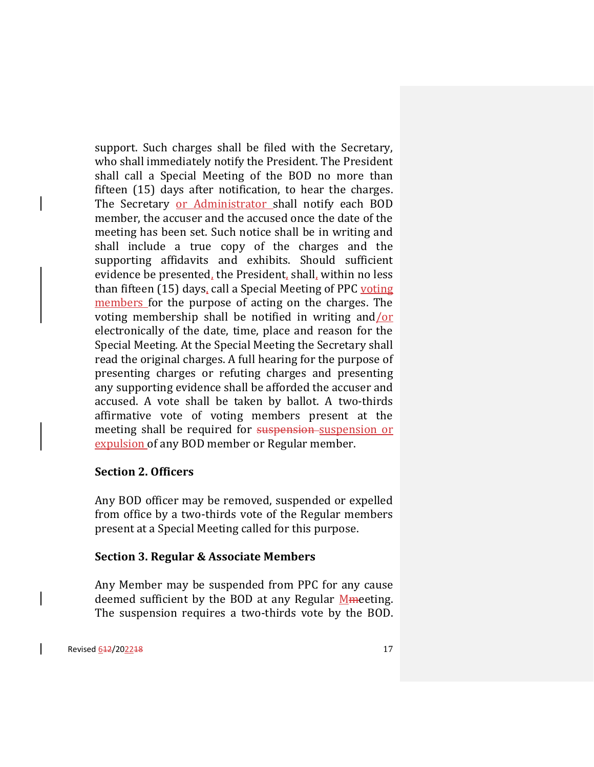support. Such charges shall be filed with the Secretary, who shall immediately notify the President. The President shall call a Special Meeting of the BOD no more than fifteen (15) days after notification, to hear the charges. The Secretary or Administrator shall notify each BOD member, the accuser and the accused once the date of the meeting has been set. Such notice shall be in writing and shall include a true copy of the charges and the supporting affidavits and exhibits. Should sufficient evidence be presented, the President, shall, within no less than fifteen (15) days, call a Special Meeting of PPC voting members for the purpose of acting on the charges. The voting membership shall be notified in writing and/or electronically of the date, time, place and reason for the Special Meeting. At the Special Meeting the Secretary shall read the original charges. A full hearing for the purpose of presenting charges or refuting charges and presenting any supporting evidence shall be afforded the accuser and accused. A vote shall be taken by ballot. A two-thirds affirmative vote of voting members present at the meeting shall be required for suspension-suspension or expulsion of any BOD member or Regular member.

#### **Section 2. Officers**

Any BOD officer may be removed, suspended or expelled from office by a two-thirds vote of the Regular members present at a Special Meeting called for this purpose.

#### **Section 3. Regular & Associate Members**

Any Member may be suspended from PPC for any cause deemed sufficient by the BOD at any Regular  $M$ meeting. The suspension requires a two-thirds vote by the BOD.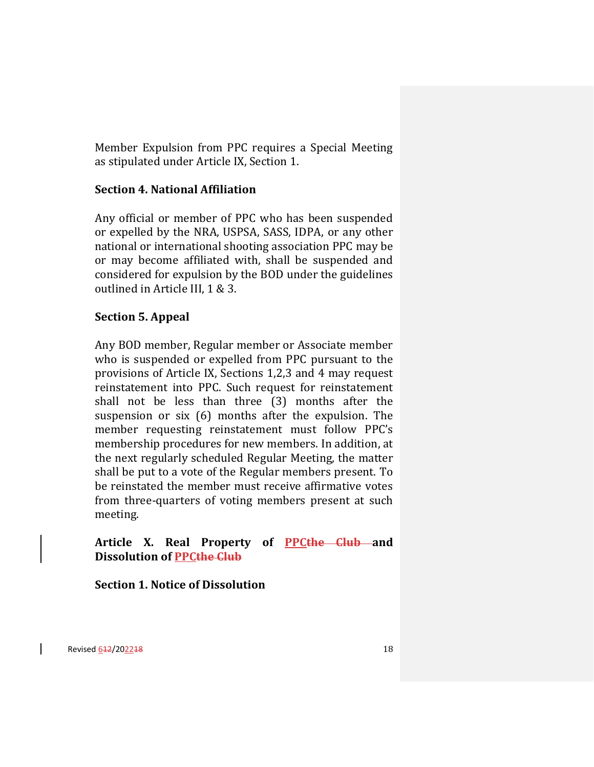Member Expulsion from PPC requires a Special Meeting as stipulated under Article IX, Section 1.

## **Section 4. National Affiliation**

Any official or member of PPC who has been suspended or expelled by the NRA, USPSA, SASS, IDPA, or any other national or international shooting association PPC may be or may become affiliated with, shall be suspended and considered for expulsion by the BOD under the guidelines outlined in Article III, 1 & 3.

## **Section 5. Appeal**

Any BOD member, Regular member or Associate member who is suspended or expelled from PPC pursuant to the provisions of Article IX, Sections 1,2,3 and 4 may request reinstatement into PPC. Such request for reinstatement shall not be less than three (3) months after the suspension or six (6) months after the expulsion. The member requesting reinstatement must follow PPC's membership procedures for new members. In addition, at the next regularly scheduled Regular Meeting, the matter shall be put to a vote of the Regular members present. To be reinstated the member must receive affirmative votes from three-quarters of voting members present at such meeting.

## **Article X. Real Property of PPCthe Club and Dissolution of PPCthe Club**

## **Section 1. Notice of Dissolution**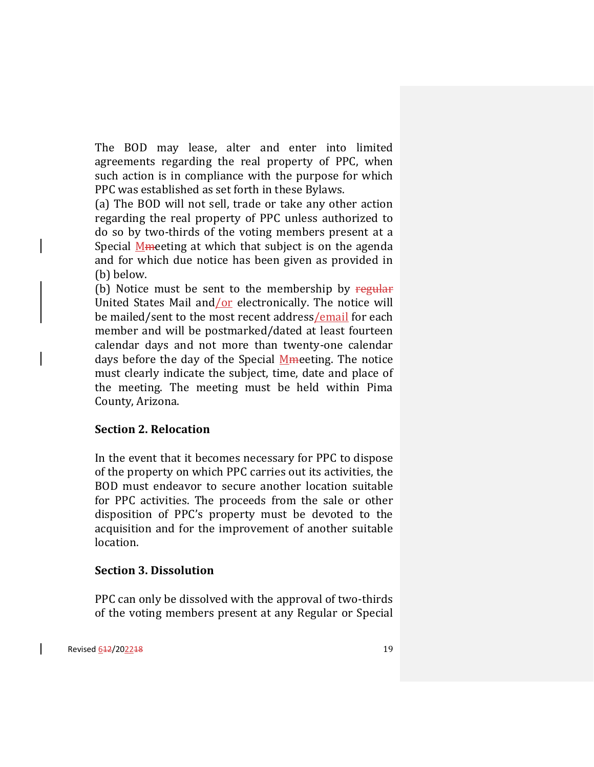The BOD may lease, alter and enter into limited agreements regarding the real property of PPC, when such action is in compliance with the purpose for which PPC was established as set forth in these Bylaws.

(a) The BOD will not sell, trade or take any other action regarding the real property of PPC unless authorized to do so by two-thirds of the voting members present at a Special Mmeeting at which that subject is on the agenda and for which due notice has been given as provided in (b) below.

(b) Notice must be sent to the membership by regular United States Mail and/or electronically. The notice will be mailed/sent to the most recent address/email for each member and will be postmarked/dated at least fourteen calendar days and not more than twenty-one calendar days before the day of the Special Mmeeting. The notice must clearly indicate the subject, time, date and place of the meeting. The meeting must be held within Pima County, Arizona.

#### **Section 2. Relocation**

In the event that it becomes necessary for PPC to dispose of the property on which PPC carries out its activities, the BOD must endeavor to secure another location suitable for PPC activities. The proceeds from the sale or other disposition of PPC's property must be devoted to the acquisition and for the improvement of another suitable location.

#### **Section 3. Dissolution**

PPC can only be dissolved with the approval of two-thirds of the voting members present at any Regular or Special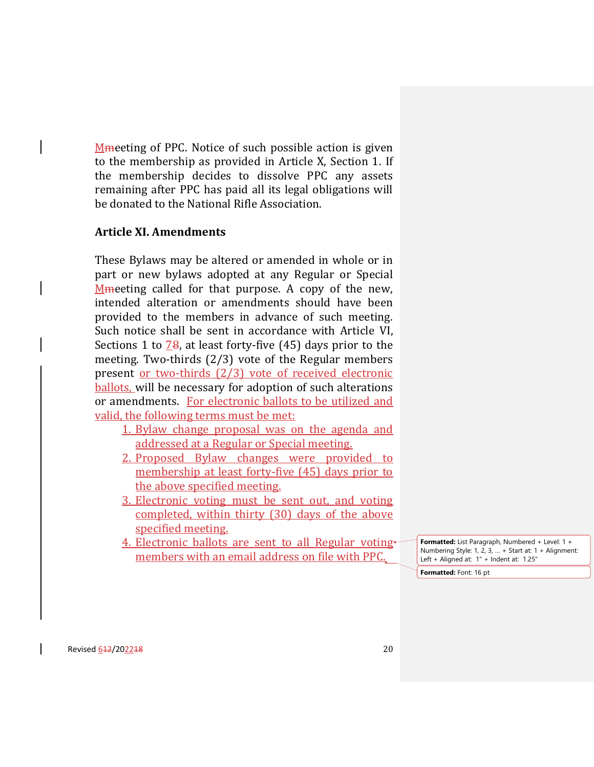Mmeeting of PPC. Notice of such possible action is given to the membership as provided in Article X, Section 1. If the membership decides to dissolve PPC any assets remaining after PPC has paid all its legal obligations will be donated to the National Rifle Association.

## **Article XI. Amendments**

These Bylaws may be altered or amended in whole or in part or new bylaws adopted at any Regular or Special Mmeeting called for that purpose. A copy of the new, intended alteration or amendments should have been provided to the members in advance of such meeting. Such notice shall be sent in accordance with Article VI, Sections 1 to  $\frac{78}{8}$ , at least forty-five (45) days prior to the meeting. Two-thirds (2/3) vote of the Regular members present or two-thirds (2/3) vote of received electronic ballots, will be necessary for adoption of such alterations or amendments. For electronic ballots to be utilized and valid, the following terms must be met:

- 1. Bylaw change proposal was on the agenda and addressed at a Regular or Special meeting.
- 2. Proposed Bylaw changes were provided to membership at least forty-five (45) days prior to the above specified meeting.
- 3. Electronic voting must be sent out, and voting completed, within thirty (30) days of the above specified meeting.
- 4. Electronic ballots are sent to all Regular voting members with an email address on file with PPC.

**Formatted:** List Paragraph, Numbered + Level: 1 + Numbering Style: 1, 2, 3, … + Start at: 1 + Alignment: Left + Aligned at: 1" + Indent at: 1.25"

**Formatted:** Font: 16 pt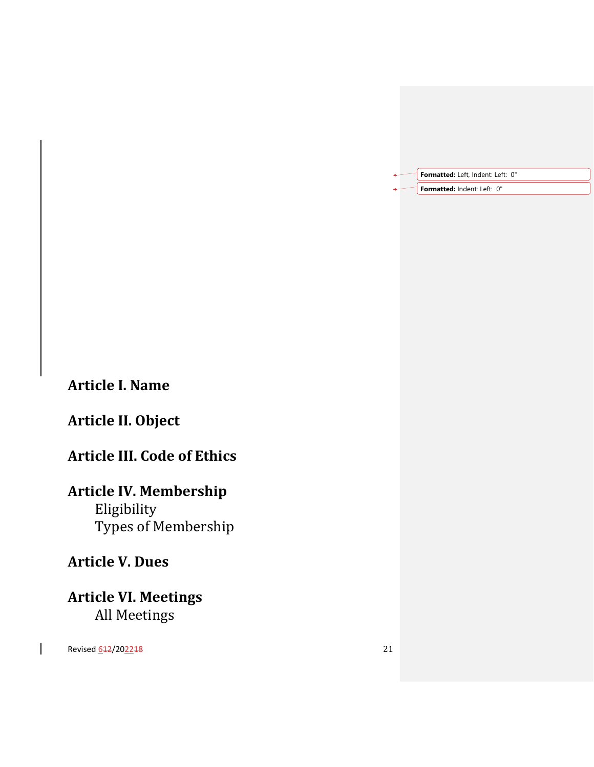| Formatted: Left, Indent: Left: 0" |
|-----------------------------------|
| Formatted: Indent: Left: 0"       |

## **Article I. Name**

# **Article II. Object**

# **Article III. Code of Ethics**

# **Article IV. Membership**

Eligibility Types of Membership

# **Article V. Dues**

**Article VI. Meetings** All Meetings

Revised 612/202218 21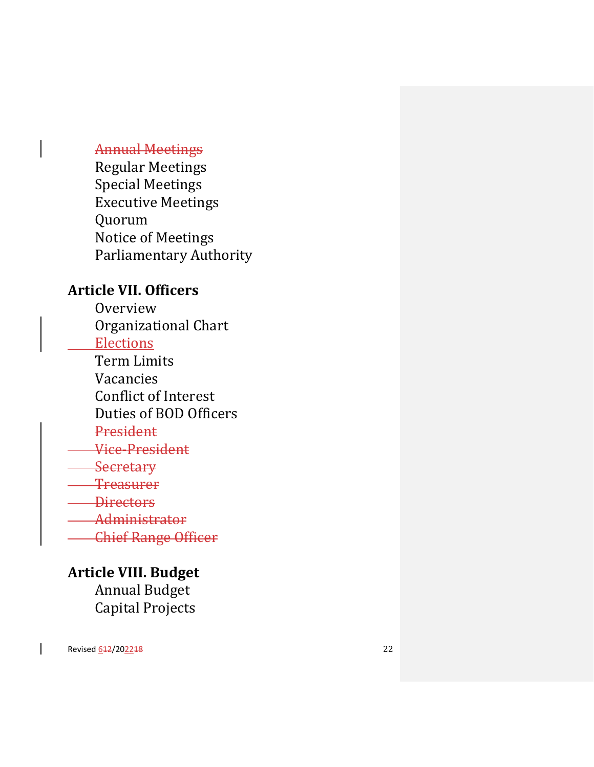## Annual Meetings

Regular Meetings Special Meetings Executive Meetings Quorum Notice of Meetings Parliamentary Authority

## **Article VII. Officers**

**Overview** Organizational Chart **Elections** Term Limits

Vacancies

Conflict of Interest

Duties of BOD Officers

## President

Vice -President

**Secretary** 

**Treasurer** 

**Directors** 

Administrator

Chief Range Officer

## **Article VIII. Budget**

Annual Budget Capital Projects

Revised <u>642/202248</u> 22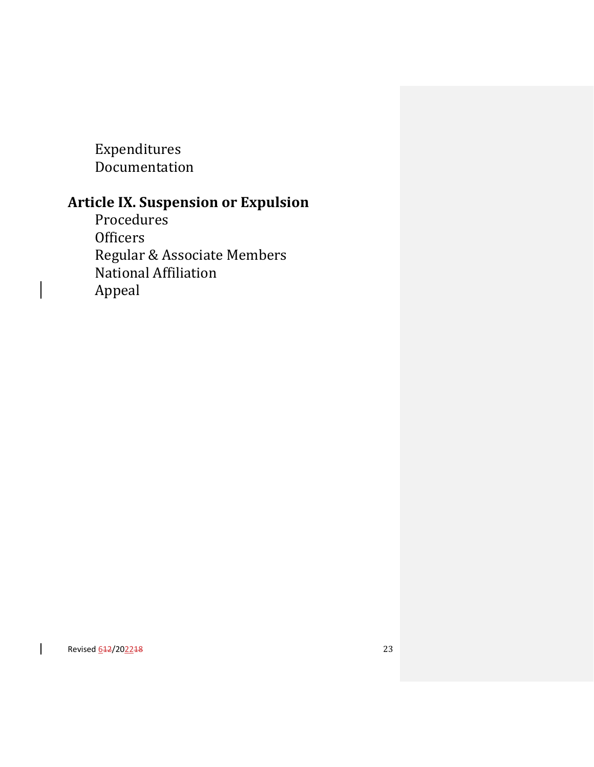Expenditures Documentation

# **Article IX. Suspension or Expulsion**

Procedures **Officers** Regular & Associate Members National Affiliation Appeal

Revised <u>642/202248</u> 23